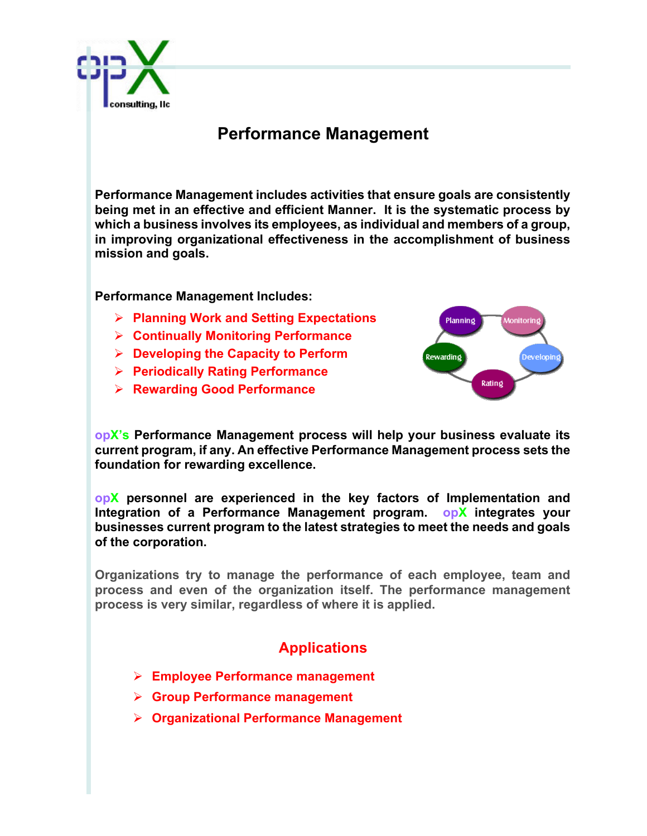

## **Performance Management**

**Performance Management includes activities that ensure goals are consistently being met in an effective and efficient Manner. It is the systematic process by which a business involves its employees, as individual and members of a group, in improving organizational effectiveness in the accomplishment of business mission and goals.**

**Performance Management Includes:**

- Ø **Planning Work and Setting Expectations**
- Ø **Continually Monitoring Performance**
- Ø **Developing the Capacity to Perform**
- Ø **Periodically Rating Performance**
- Ø **Rewarding Good Performance**



**opX's Performance Management process will help your business evaluate its current program, if any. An effective Performance Management process sets the foundation for rewarding excellence.** 

**opX personnel are experienced in the key factors of Implementation and Integration of a Performance Management program. opX integrates your businesses current program to the latest strategies to meet the needs and goals of the corporation.** 

**Organizations try to manage the performance of each employee, team and process and even of the organization itself. The performance management process is very similar, regardless of where it is applied.**

## **Applications**

- Ø **Employee Performance management**
- Ø **Group Performance management**
- Ø **Organizational Performance Management**